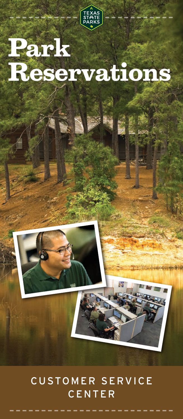

# **Park Reservations**